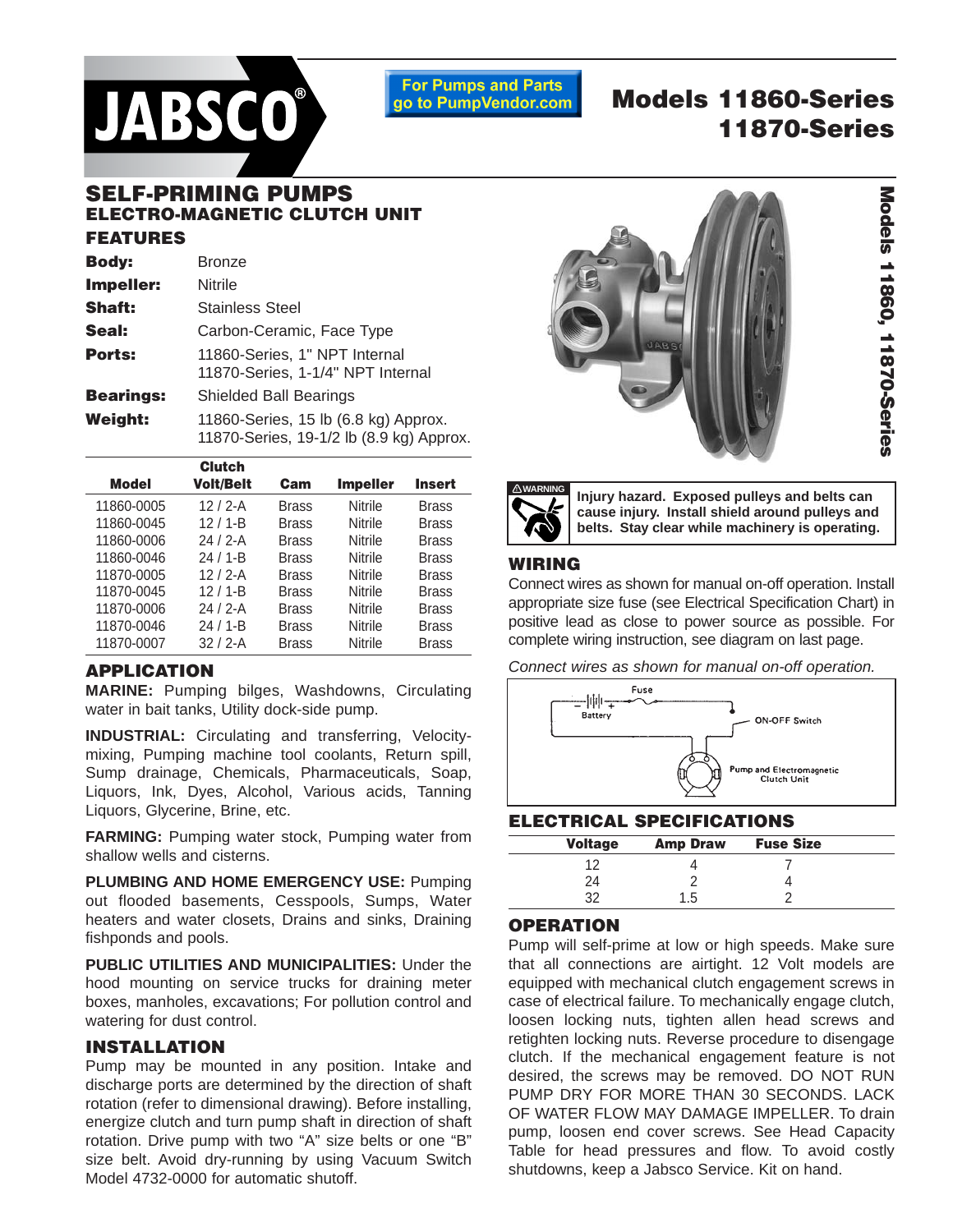

**For Pumps and Parts** go to PumpVendor.com

# **Models 11860-Series 11870-Series**

## **SELF-PRIMING PUMPS ELECTRO-MAGNETIC CLUTCH UNIT FEATURES**

| <b>Body:</b>     | <b>Bronze</b>                                                                    |
|------------------|----------------------------------------------------------------------------------|
| <b>Impeller:</b> | <b>Nitrile</b>                                                                   |
| <b>Shaft:</b>    | <b>Stainless Steel</b>                                                           |
| Seal:            | Carbon-Ceramic, Face Type                                                        |
| Ports:           | 11860-Series, 1" NPT Internal<br>11870-Series, 1-1/4" NPT Internal               |
| <b>Bearings:</b> | <b>Shielded Ball Bearings</b>                                                    |
| Weiaht:          | 11860-Series, 15 lb (6.8 kg) Approx.<br>11870-Series, 19-1/2 lb (8.9 kg) Approx. |

|              | <b>Clutch</b>    |              |                 |               |  |
|--------------|------------------|--------------|-----------------|---------------|--|
| <b>Model</b> | <b>Volt/Belt</b> | Cam          | <b>Impeller</b> | <b>Insert</b> |  |
| 11860-0005   | $12/2 - A$       | <b>Brass</b> | <b>Nitrile</b>  | <b>Brass</b>  |  |
| 11860-0045   | $12/1 - B$       | <b>Brass</b> | Nitrile         | <b>Brass</b>  |  |
| 11860-0006   | $24/2-A$         | <b>Brass</b> | Nitrile         | <b>Brass</b>  |  |
| 11860-0046   | $24/1 - B$       | <b>Brass</b> | Nitrile         | <b>Brass</b>  |  |
| 11870-0005   | $12/2 - A$       | <b>Brass</b> | Nitrile         | <b>Brass</b>  |  |
| 11870-0045   | $12/1 - B$       | <b>Brass</b> | Nitrile         | <b>Brass</b>  |  |
| 11870-0006   | $24/2-A$         | <b>Brass</b> | Nitrile         | <b>Brass</b>  |  |
| 11870-0046   | $24/1 - B$       | <b>Brass</b> | Nitrile         | <b>Brass</b>  |  |
| 11870-0007   | $32/2-A$         | <b>Brass</b> | <b>Nitrile</b>  | Brass         |  |
|              |                  |              |                 |               |  |

#### **APPLICATION**

**MARINE:** Pumping bilges, Washdowns, Circulating water in bait tanks, Utility dock-side pump.

**INDUSTRIAL:** Circulating and transferring, Velocitymixing, Pumping machine tool coolants, Return spill, Sump drainage, Chemicals, Pharmaceuticals, Soap, Liquors, Ink, Dyes, Alcohol, Various acids, Tanning Liquors, Glycerine, Brine, etc.

**FARMING:** Pumping water stock, Pumping water from shallow wells and cisterns.

**PLUMBING AND HOME EMERGENCY USE:** Pumping out flooded basements, Cesspools, Sumps, Water heaters and water closets, Drains and sinks, Draining fishponds and pools.

**PUBLIC UTILITIES AND MUNICIPALITIES:** Under the hood mounting on service trucks for draining meter boxes, manholes, excavations; For pollution control and watering for dust control.

#### **INSTALLATION**

Pump may be mounted in any position. Intake and discharge ports are determined by the direction of shaft rotation (refer to dimensional drawing). Before installing, energize clutch and turn pump shaft in direction of shaft rotation. Drive pump with two "A" size belts or one "B" size belt. Avoid dry-running by using Vacuum Switch Model 4732-0000 for automatic shutoff.



Models 11860, 11870-Series **Models 11860, 11870-Series**



**Injury hazard. Exposed pulleys and belts can cause injury. Install shield around pulleys and belts. Stay clear while machinery is operating.**

#### **WIRING**

Connect wires as shown for manual on-off operation. Install appropriate size fuse (see Electrical Specification Chart) in positive lead as close to power source as possible. For complete wiring instruction, see diagram on last page.

Connect wires as shown for manual on-off operation.



#### **ELECTRICAL SPECIFICATIONS**

| <b>Voltage</b> | <b>Amp Draw</b> | <b>Fuse Size</b> |  |
|----------------|-----------------|------------------|--|
|                |                 |                  |  |
| 24             |                 |                  |  |
| າາ             | 1.5             |                  |  |

#### **OPERATION**

Pump will self-prime at low or high speeds. Make sure that all connections are airtight. 12 Volt models are equipped with mechanical clutch engagement screws in case of electrical failure. To mechanically engage clutch, loosen locking nuts, tighten allen head screws and retighten locking nuts. Reverse procedure to disengage clutch. If the mechanical engagement feature is not desired, the screws may be removed. DO NOT RUN PUMP DRY FOR MORE THAN 30 SECONDS. LACK OF WATER FLOW MAY DAMAGE IMPELLER. To drain pump, loosen end cover screws. See Head Capacity Table for head pressures and flow. To avoid costly shutdowns, keep a Jabsco Service. Kit on hand.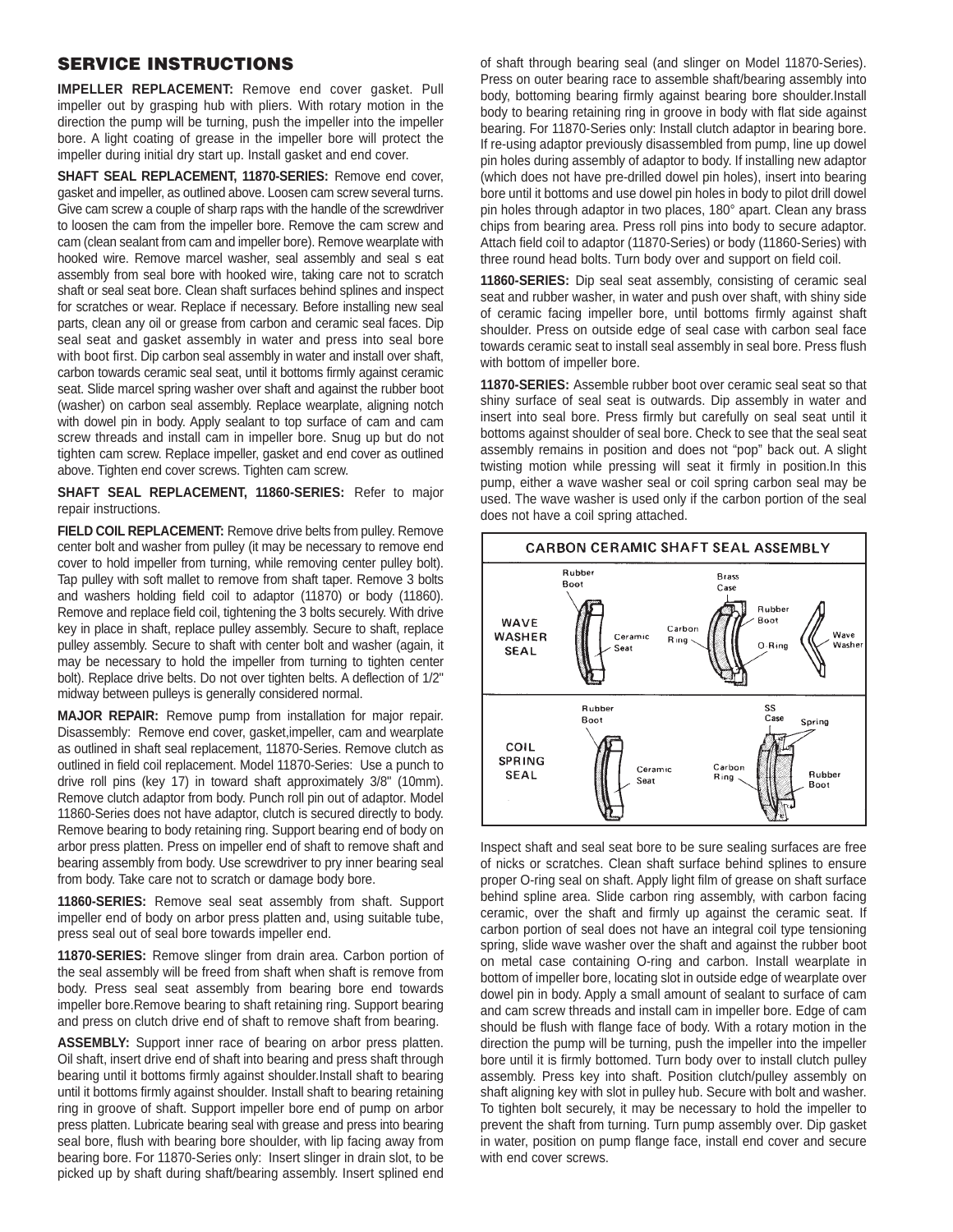#### **SERVICE INSTRUCTIONS**

**IMPELLER REPLACEMENT:** Remove end cover gasket. Pull impeller out by grasping hub with pliers. With rotary motion in the direction the pump will be turning, push the impeller into the impeller bore. A light coating of grease in the impeller bore will protect the impeller during initial dry start up. Install gasket and end cover.

**SHAFT SEAL REPLACEMENT, 11870-SERIES:** Remove end cover, gasket and impeller, as outlined above. Loosen cam screw several turns. Give cam screw a couple of sharp raps with the handle of the screwdriver to loosen the cam from the impeller bore. Remove the cam screw and cam (clean sealant from cam and impeller bore). Remove wearplate with hooked wire. Remove marcel washer, seal assembly and seal s eat assembly from seal bore with hooked wire, taking care not to scratch shaft or seal seat bore. Clean shaft surfaces behind splines and inspect for scratches or wear. Replace if necessary. Before installing new seal parts, clean any oil or grease from carbon and ceramic seal faces. Dip seal seat and gasket assembly in water and press into seal bore with boot first. Dip carbon seal assembly in water and install over shaft, carbon towards ceramic seal seat, until it bottoms firmly against ceramic seat. Slide marcel spring washer over shaft and against the rubber boot (washer) on carbon seal assembly. Replace wearplate, aligning notch with dowel pin in body. Apply sealant to top surface of cam and cam screw threads and install cam in impeller bore. Snug up but do not tighten cam screw. Replace impeller, gasket and end cover as outlined above. Tighten end cover screws. Tighten cam screw.

**SHAFT SEAL REPLACEMENT, 11860-SERIES:** Refer to major repair instructions.

**FIELD COIL REPLACEMENT:** Remove drive belts from pulley. Remove center bolt and washer from pulley (it may be necessary to remove end cover to hold impeller from turning, while removing center pulley bolt). Tap pulley with soft mallet to remove from shaft taper. Remove 3 bolts and washers holding field coil to adaptor (11870) or body (11860). Remove and replace field coil, tightening the 3 bolts securely. With drive key in place in shaft, replace pulley assembly. Secure to shaft, replace pulley assembly. Secure to shaft with center bolt and washer (again, it may be necessary to hold the impeller from turning to tighten center bolt). Replace drive belts. Do not over tighten belts. A deflection of 1/2" midway between pulleys is generally considered normal.

**MAJOR REPAIR:** Remove pump from installation for major repair. Disassembly: Remove end cover, gasket,impeller, cam and wearplate as outlined in shaft seal replacement, 11870-Series. Remove clutch as outlined in field coil replacement. Model 11870-Series: Use a punch to drive roll pins (key 17) in toward shaft approximately 3/8" (10mm). Remove clutch adaptor from body. Punch roll pin out of adaptor. Model 11860-Series does not have adaptor, clutch is secured directly to body. Remove bearing to body retaining ring. Support bearing end of body on arbor press platten. Press on impeller end of shaft to remove shaft and bearing assembly from body. Use screwdriver to pry inner bearing seal from body. Take care not to scratch or damage body bore.

**11860-SERIES:** Remove seal seat assembly from shaft. Support impeller end of body on arbor press platten and, using suitable tube, press seal out of seal bore towards impeller end.

**11870-SERIES:** Remove slinger from drain area. Carbon portion of the seal assembly will be freed from shaft when shaft is remove from body. Press seal seat assembly from bearing bore end towards impeller bore.Remove bearing to shaft retaining ring. Support bearing and press on clutch drive end of shaft to remove shaft from bearing.

**ASSEMBLY:** Support inner race of bearing on arbor press platten. Oil shaft, insert drive end of shaft into bearing and press shaft through bearing until it bottoms firmly against shoulder.Install shaft to bearing until it bottoms firmly against shoulder. Install shaft to bearing retaining ring in groove of shaft. Support impeller bore end of pump on arbor press platten. Lubricate bearing seal with grease and press into bearing seal bore, flush with bearing bore shoulder, with lip facing away from bearing bore. For 11870-Series only: Insert slinger in drain slot, to be picked up by shaft during shaft/bearing assembly. Insert splined end of shaft through bearing seal (and slinger on Model 11870-Series). Press on outer bearing race to assemble shaft/bearing assembly into body, bottoming bearing firmly against bearing bore shoulder.Install body to bearing retaining ring in groove in body with flat side against bearing. For 11870-Series only: Install clutch adaptor in bearing bore. If re-using adaptor previously disassembled from pump, line up dowel pin holes during assembly of adaptor to body. If installing new adaptor (which does not have pre-drilled dowel pin holes), insert into bearing bore until it bottoms and use dowel pin holes in body to pilot drill dowel pin holes through adaptor in two places, 180° apart. Clean any brass chips from bearing area. Press roll pins into body to secure adaptor. Attach field coil to adaptor (11870-Series) or body (11860-Series) with three round head bolts. Turn body over and support on field coil.

**11860-SERIES:** Dip seal seat assembly, consisting of ceramic seal seat and rubber washer, in water and push over shaft, with shiny side of ceramic facing impeller bore, until bottoms firmly against shaft shoulder. Press on outside edge of seal case with carbon seal face towards ceramic seat to install seal assembly in seal bore. Press flush with bottom of impeller bore.

**11870-SERIES:** Assemble rubber boot over ceramic seal seat so that shiny surface of seal seat is outwards. Dip assembly in water and insert into seal bore. Press firmly but carefully on seal seat until it bottoms against shoulder of seal bore. Check to see that the seal seat assembly remains in position and does not "pop" back out. A slight twisting motion while pressing will seat it firmly in position.In this pump, either a wave washer seal or coil spring carbon seal may be used. The wave washer is used only if the carbon portion of the seal does not have a coil spring attached.



Inspect shaft and seal seat bore to be sure sealing surfaces are free of nicks or scratches. Clean shaft surface behind splines to ensure proper O-ring seal on shaft. Apply light film of grease on shaft surface behind spline area. Slide carbon ring assembly, with carbon facing ceramic, over the shaft and firmly up against the ceramic seat. If carbon portion of seal does not have an integral coil type tensioning spring, slide wave washer over the shaft and against the rubber boot on metal case containing O-ring and carbon. Install wearplate in bottom of impeller bore, locating slot in outside edge of wearplate over dowel pin in body. Apply a small amount of sealant to surface of cam and cam screw threads and install cam in impeller bore. Edge of cam should be flush with flange face of body. With a rotary motion in the direction the pump will be turning, push the impeller into the impeller bore until it is firmly bottomed. Turn body over to install clutch pulley assembly. Press key into shaft. Position clutch/pulley assembly on shaft aligning key with slot in pulley hub. Secure with bolt and washer. To tighten bolt securely, it may be necessary to hold the impeller to prevent the shaft from turning. Turn pump assembly over. Dip gasket in water, position on pump flange face, install end cover and secure with end cover screws.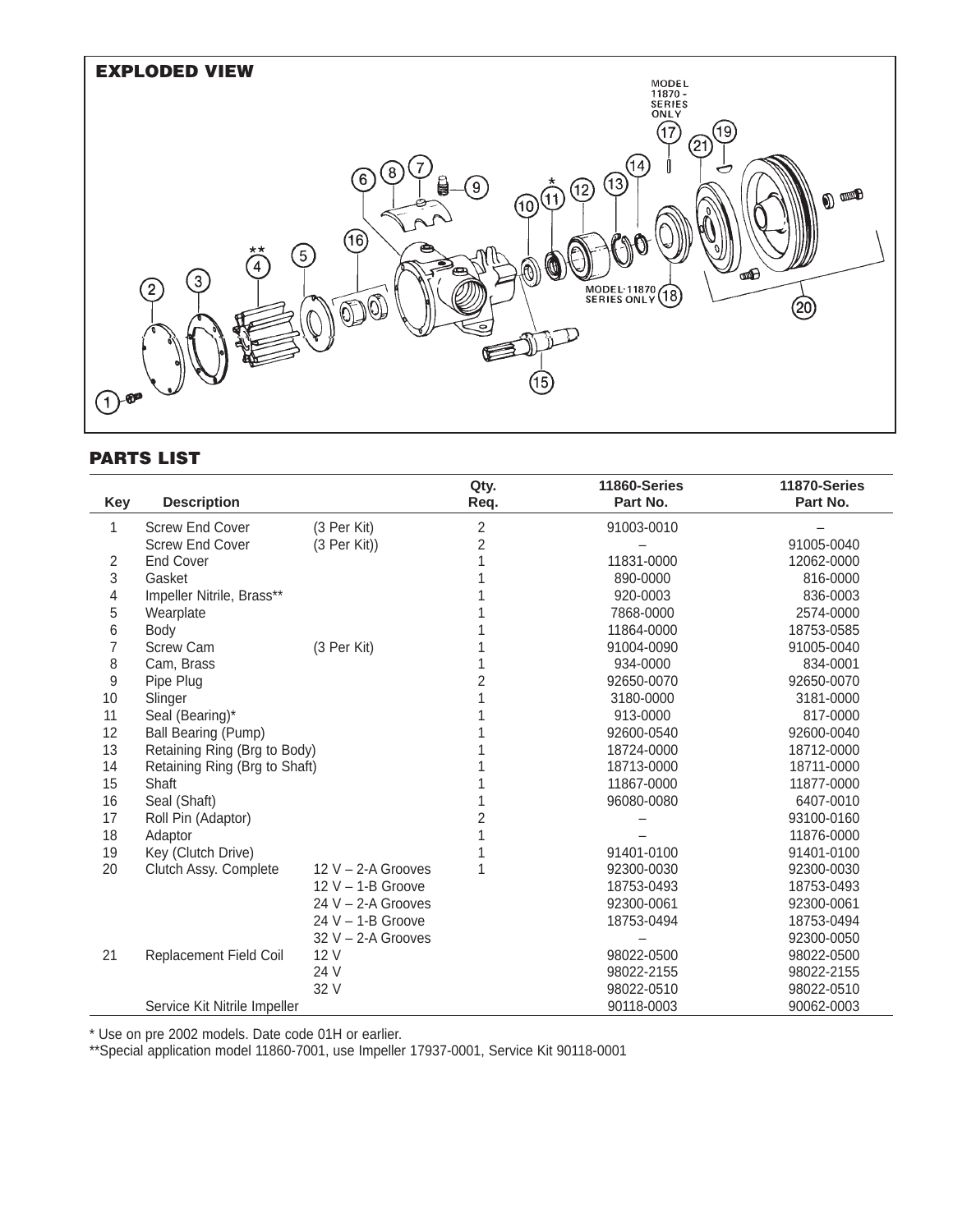

### **PARTS LIST**

|                  |                                       |                      | Qty. | 11860-Series | 11870-Series |
|------------------|---------------------------------------|----------------------|------|--------------|--------------|
| Key              | <b>Description</b>                    |                      | Req. | Part No.     | Part No.     |
| 1                | <b>Screw End Cover</b><br>(3 Per Kit) |                      | 2    | 91003-0010   |              |
|                  | <b>Screw End Cover</b>                | $(3$ Per Kit))       | 2    |              | 91005-0040   |
| 2                | <b>End Cover</b>                      |                      |      | 11831-0000   | 12062-0000   |
| 3                | Gasket                                |                      |      | 890-0000     | 816-0000     |
| 4                | Impeller Nitrile, Brass**             |                      |      | 920-0003     | 836-0003     |
| 5                | Wearplate                             |                      |      | 7868-0000    | 2574-0000    |
| 6                | Body                                  |                      |      | 11864-0000   | 18753-0585   |
| 7                | <b>Screw Cam</b>                      | (3 Per Kit)          |      | 91004-0090   | 91005-0040   |
| 8                | Cam, Brass                            |                      |      | 934-0000     | 834-0001     |
| $\boldsymbol{9}$ | Pipe Plug                             |                      |      | 92650-0070   | 92650-0070   |
| 10               | Slinger                               |                      |      | 3180-0000    | 3181-0000    |
| 11               | Seal (Bearing)*                       |                      |      | 913-0000     | 817-0000     |
| 12               | Ball Bearing (Pump)                   |                      |      | 92600-0540   | 92600-0040   |
| 13               | Retaining Ring (Brg to Body)          |                      |      | 18724-0000   | 18712-0000   |
| 14               | Retaining Ring (Brg to Shaft)         |                      |      | 18713-0000   | 18711-0000   |
| 15               | Shaft                                 |                      |      | 11867-0000   | 11877-0000   |
| 16               | Seal (Shaft)                          |                      |      | 96080-0080   | 6407-0010    |
| 17               | Roll Pin (Adaptor)                    |                      |      |              | 93100-0160   |
| 18               | Adaptor                               |                      |      |              | 11876-0000   |
| 19               | Key (Clutch Drive)                    |                      |      | 91401-0100   | 91401-0100   |
| 20               | Clutch Assy. Complete                 | $12 V - 2-A$ Grooves |      | 92300-0030   | 92300-0030   |
|                  |                                       | $12 V - 1-B$ Groove  |      | 18753-0493   | 18753-0493   |
|                  |                                       | 24 $V - 2-A$ Grooves |      | 92300-0061   | 92300-0061   |
|                  |                                       | $24 V - 1-B$ Groove  |      | 18753-0494   | 18753-0494   |
|                  |                                       | $32 V - 2-A$ Grooves |      |              | 92300-0050   |
| 21               | Replacement Field Coil                | 12 V                 |      | 98022-0500   | 98022-0500   |
|                  |                                       | 24 V                 |      | 98022-2155   | 98022-2155   |
|                  |                                       | 32 V                 |      | 98022-0510   | 98022-0510   |
|                  | Service Kit Nitrile Impeller          |                      |      | 90118-0003   | 90062-0003   |

\* Use on pre 2002 models. Date code 01H or earlier.

\*\*Special application model 11860-7001, use Impeller 17937-0001, Service Kit 90118-0001